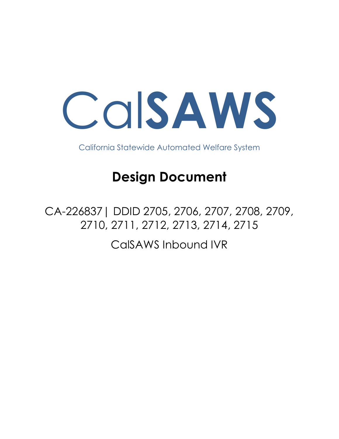

California Statewide Automated Welfare System

# **Design Document**

CA-226837| DDID 2705, 2706, 2707, 2708, 2709, 2710, 2711, 2712, 2713, 2714, 2715 CalSAWS Inbound IVR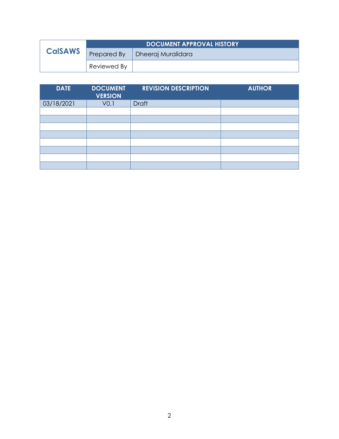|                | <b>DOCUMENT APPROVAL HISTORY</b> |                    |
|----------------|----------------------------------|--------------------|
| <b>CalSAWS</b> | Prepared By                      | Dheeraj Muralidara |
|                | Reviewed By                      |                    |

| <b>DATE</b> | <b>DOCUMENT</b><br><b>VERSION</b> | <b>REVISION DESCRIPTION</b> | <b>AUTHOR</b> |
|-------------|-----------------------------------|-----------------------------|---------------|
| 03/18/2021  | V <sub>0.1</sub>                  | <b>Draft</b>                |               |
|             |                                   |                             |               |
|             |                                   |                             |               |
|             |                                   |                             |               |
|             |                                   |                             |               |
|             |                                   |                             |               |
|             |                                   |                             |               |
|             |                                   |                             |               |
|             |                                   |                             |               |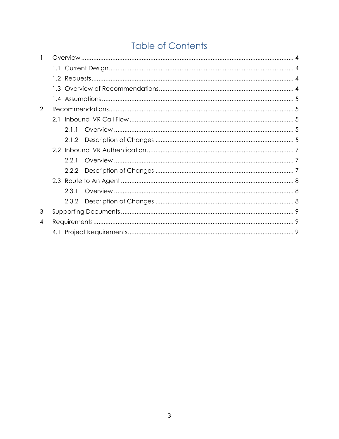# **Table of Contents**

| 2 |       |  |
|---|-------|--|
|   |       |  |
|   | 2.1.1 |  |
|   |       |  |
|   |       |  |
|   | 2.2.1 |  |
|   |       |  |
|   |       |  |
|   | 2.3.1 |  |
|   | 2.3.2 |  |
| 3 |       |  |
| 4 |       |  |
|   |       |  |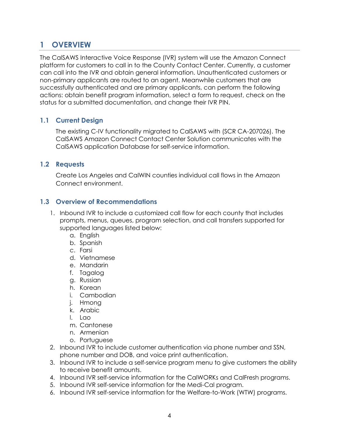# <span id="page-3-0"></span>**1 OVERVIEW**

The CalSAWS Interactive Voice Response (IVR) system will use the Amazon Connect platform for customers to call in to the County Contact Center. Currently, a customer can call into the IVR and obtain general information. Unauthenticated customers or non-primary applicants are routed to an agent. Meanwhile customers that are successfully authenticated and are primary applicants, can perform the following actions: obtain benefit program information, select a form to request, check on the status for a submitted documentation, and change their IVR PIN.

#### <span id="page-3-1"></span>**1.1 Current Design**

The existing C-IV functionality migrated to CalSAWS with (SCR CA-207026). The CalSAWS Amazon Connect Contact Center Solution communicates with the CalSAWS application Database for self-service information.

#### <span id="page-3-2"></span>**1.2 Requests**

Create Los Angeles and CalWIN counties individual call flows in the Amazon Connect environment.

#### <span id="page-3-3"></span>**1.3 Overview of Recommendations**

- 1. Inbound IVR to include a customized call flow for each county that includes prompts, menus, queues, program selection, and call transfers supported for supported languages listed below:
	- a. English
	- b. Spanish
	- c. Farsi
	- d. Vietnamese
	- e. Mandarin
	- f. Tagalog
	- g. Russian
	- h. Korean
	- i. Cambodian
	- j. Hmong
	- k. Arabic
	- l. Lao
	- m. Cantonese
	- n. Armenian
	- o. Portuguese
- 2. Inbound IVR to include customer authentication via phone number and SSN, phone number and DOB, and voice print authentication.
- 3. Inbound IVR to include a self-service program menu to give customers the ability to receive benefit amounts.
- 4. Inbound IVR self-service information for the CalWORKs and CalFresh programs.
- 5. Inbound IVR self-service information for the Medi-Cal program.
- 6. Inbound IVR self-service information for the Welfare-to-Work (WTW) programs.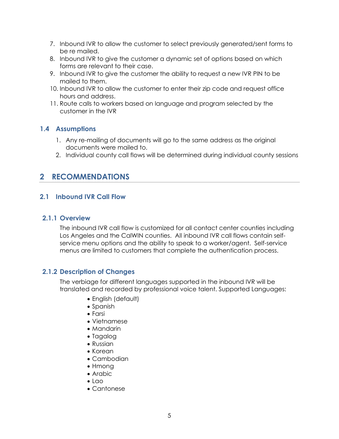- 7. Inbound IVR to allow the customer to select previously generated/sent forms to be re mailed.
- 8. Inbound IVR to give the customer a dynamic set of options based on which forms are relevant to their case.
- 9. Inbound IVR to give the customer the ability to request a new IVR PIN to be mailed to them.
- 10. Inbound IVR to allow the customer to enter their zip code and request office hours and address.
- 11. Route calls to workers based on language and program selected by the customer in the IVR

#### <span id="page-4-0"></span>**1.4 Assumptions**

- 1. Any re-mailing of documents will go to the same address as the original documents were mailed to.
- 2. Individual county call flows will be determined during individual county sessions

### <span id="page-4-1"></span>**2 RECOMMENDATIONS**

#### <span id="page-4-3"></span><span id="page-4-2"></span>**2.1 Inbound IVR Call Flow**

#### **2.1.1 Overview**

The inbound IVR call flow is customized for all contact center counties including Los Angeles and the CalWIN counties. All inbound IVR call flows contain selfservice menu options and the ability to speak to a worker/agent. Self-service menus are limited to customers that complete the authentication process.

#### <span id="page-4-4"></span>**2.1.2 Description of Changes**

The verbiage for different languages supported in the inbound IVR will be translated and recorded by professional voice talent. Supported Languages:

- English (default)
- Spanish
- Farsi
- Vietnamese
- Mandarin
- Tagalog
- Russian
- Korean
- Cambodian
- Hmong
- Arabic
- $\bullet$  Lao
- Cantonese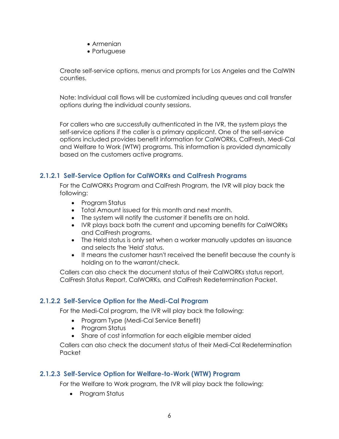- Armenian
- Portuguese

Create self-service options, menus and prompts for Los Angeles and the CalWIN counties.

Note: Individual call flows will be customized including queues and call transfer options during the individual county sessions.

For callers who are successfully authenticated in the IVR, the system plays the self-service options if the caller is a primary applicant. One of the self-service options included provides benefit information for CalWORKs, CalFresh, Medi-Cal and Welfare to Work (WTW) programs. This information is provided dynamically based on the customers active programs.

#### **2.1.2.1 Self-Service Option for CalWORKs and CalFresh Programs**

For the CalWORKs Program and CalFresh Program, the IVR will play back the following:

- Program Status
- Total Amount issued for this month and next month.
- The system will notify the customer if benefits are on hold.
- IVR plays back both the current and upcoming benefits for CalWORKs and CalFresh programs.
- The Held status is only set when a worker manually updates an issuance and selects the 'Held' status.
- It means the customer hasn't received the benefit because the county is holding on to the warrant/check.

Callers can also check the document status of their CalWORKs status report, CalFresh Status Report, CalWORKs, and CalFresh Redetermination Packet.

#### **2.1.2.2 Self-Service Option for the Medi-Cal Program**

For the Medi-Cal program, the IVR will play back the following:

- Program Type (Medi-Cal Service Benefit)
- Program Status
- Share of cost information for each eligible member aided

Callers can also check the document status of their Medi-Cal Redetermination Packet

#### **2.1.2.3 Self-Service Option for Welfare-to-Work (WTW) Program**

For the Welfare to Work program, the IVR will play back the following:

• Program Status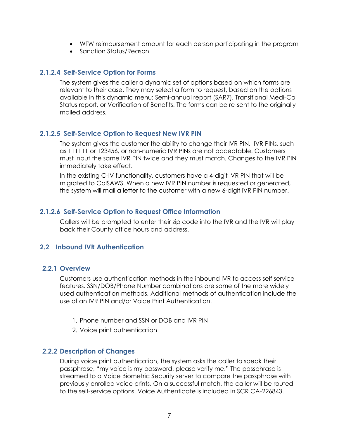- WTW reimbursement amount for each person participating in the program
- Sanction Status/Reason

#### **2.1.2.4 Self-Service Option for Forms**

The system gives the caller a dynamic set of options based on which forms are relevant to their case. They may select a form to request, based on the options available in this dynamic menu: Semi-annual report (SAR7), Transitional Medi-Cal Status report, or Verification of Benefits. The forms can be re-sent to the originally mailed address.

#### **2.1.2.5 Self-Service Option to Request New IVR PIN**

The system gives the customer the ability to change their IVR PIN. IVR PINs, such as 111111 or 123456, or non-numeric IVR PINs are not acceptable. Customers must input the same IVR PIN twice and they must match. Changes to the IVR PIN immediately take effect.

In the existing C-IV functionality, customers have a 4-digit IVR PIN that will be migrated to CalSAWS. When a new IVR PIN number is requested or generated, the system will mail a letter to the customer with a new 6-digit IVR PIN number.

#### **2.1.2.6 Self-Service Option to Request Office Information**

Callers will be prompted to enter their zip code into the IVR and the IVR will play back their County office hours and address.

#### <span id="page-6-1"></span><span id="page-6-0"></span>**2.2 Inbound IVR Authentication**

#### **2.2.1 Overview**

Customers use authentication methods in the inbound IVR to access self service features. SSN/DOB/Phone Number combinations are some of the more widely used authentication methods. Additional methods of authentication include the use of an IVR PIN and/or Voice Print Authentication.

- 1. Phone number and SSN or DOB and IVR PIN
- 2. Voice print authentication

#### <span id="page-6-2"></span>**2.2.2 Description of Changes**

During voice print authentication, the system asks the caller to speak their passphrase, "my voice is my password, please verify me." The passphrase is streamed to a Voice Biometric Security server to compare the passphrase with previously enrolled voice prints. On a successful match, the caller will be routed to the self-service options. Voice Authenticate is included in SCR CA-226843.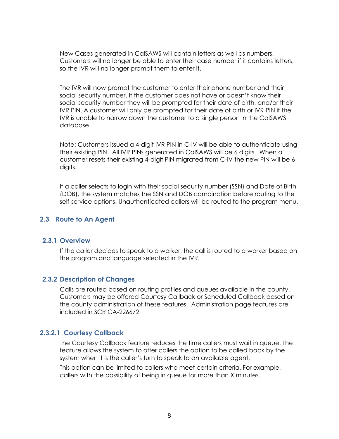New Cases generated in CalSAWS will contain letters as well as numbers. Customers will no longer be able to enter their case number if it contains letters, so the IVR will no longer prompt them to enter it.

The IVR will now prompt the customer to enter their phone number and their social security number. If the customer does not have or doesn't know their social security number they will be prompted for their date of birth, and/or their IVR PIN. A customer will only be prompted for their date of birth or IVR PIN if the IVR is unable to narrow down the customer to a single person in the CalSAWS database.

Note: Customers issued a 4-digit IVR PIN in C-IV will be able to authenticate using their existing PIN. All IVR PINs generated in CalSAWS will be 6 digits. When a customer resets their existing 4-digit PIN migrated from C-IV the new PIN will be 6 digits.

If a caller selects to login with their social security number (SSN) and Date of Birth (DOB), the system matches the SSN and DOB combination before routing to the self-service options. Unauthenticated callers will be routed to the program menu.

#### <span id="page-7-1"></span><span id="page-7-0"></span>**2.3 Route to An Agent**

#### **2.3.1 Overview**

If the caller decides to speak to a worker, the call is routed to a worker based on the program and language selected in the IVR.

#### <span id="page-7-2"></span>**2.3.2 Description of Changes**

Calls are routed based on routing profiles and queues available in the county. Customers may be offered Courtesy Callback or Scheduled Callback based on the county administration of these features. Administration page features are included in SCR CA-226672

#### **2.3.2.1 Courtesy Callback**

The Courtesy Callback feature reduces the time callers must wait in queue. The feature allows the system to offer callers the option to be called back by the system when it is the caller's turn to speak to an available agent.

This option can be limited to callers who meet certain criteria. For example, callers with the possibility of being in queue for more than X minutes.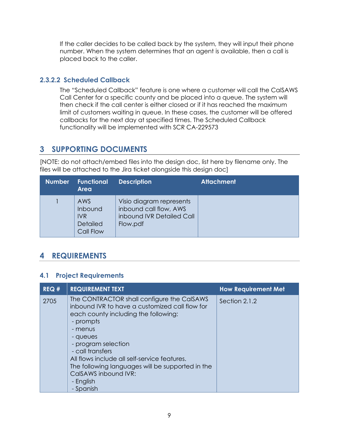If the caller decides to be called back by the system, they will input their phone number. When the system determines that an agent is available, then a call is placed back to the caller.

#### **2.3.2.2 Scheduled Callback**

The "Scheduled Callback" feature is one where a customer will call the CalSAWS Call Center for a specific county and be placed into a queue. The system will then check if the call center is either closed or if it has reached the maximum limit of customers waiting in queue. In these cases, the customer will be offered callbacks for the next day at specified times. The Scheduled Callback functionality will be implemented with SCR CA-229573

## <span id="page-8-0"></span>**3 SUPPORTING DOCUMENTS**

[NOTE: do not attach/embed files into the design doc, list here by filename only. The files will be attached to the Jira ticket alongside this design doc]

| <b>Number</b> | <b>Functional</b><br><b>Area</b>                             | <b>Description</b>                                                                          | <b>Attachment</b> |
|---------------|--------------------------------------------------------------|---------------------------------------------------------------------------------------------|-------------------|
|               | AWS<br>Inbound<br><b>IVR</b><br><b>Detailed</b><br>Call Flow | Visio diagram represents<br>inbound call flow, AWS<br>inbound IVR Detailed Call<br>Flow.pdf |                   |

# <span id="page-8-1"></span>**4 REQUIREMENTS**

#### <span id="page-8-2"></span>**4.1 Project Requirements**

| REQ# | <b>REQUIREMENT TEXT</b>                                                                                                                                                                                                                                                                                                                                                   | <b>How Requirement Met</b> |
|------|---------------------------------------------------------------------------------------------------------------------------------------------------------------------------------------------------------------------------------------------------------------------------------------------------------------------------------------------------------------------------|----------------------------|
| 2705 | The CONTRACTOR shall configure the CalSAWS<br>inbound IVR to have a customized call flow for<br>each county including the following:<br>- prompts<br>- menus<br>- queues<br>- program selection<br>- call transfers<br>All flows include all self-service features.<br>The following languages will be supported in the<br>CalSAWS inbound IVR:<br>- English<br>- Spanish | Section 2.1.2              |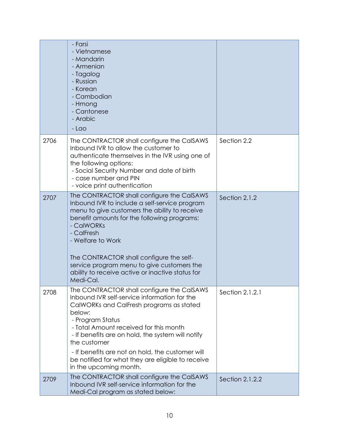|      | - Farsi<br>- Vietnamese<br>- Mandarin<br>- Armenian<br>- Tagalog<br>- Russian<br>- Korean<br>- Cambodian<br>- Hmong<br>- Cantonese<br>- Arabic<br>- Lao                                                                                                                                                                                                                                                 |                 |
|------|---------------------------------------------------------------------------------------------------------------------------------------------------------------------------------------------------------------------------------------------------------------------------------------------------------------------------------------------------------------------------------------------------------|-----------------|
| 2706 | The CONTRACTOR shall configure the CalSAWS<br>Inbound IVR to allow the customer to<br>authenticate themselves in the IVR using one of<br>the following options:<br>- Social Security Number and date of birth<br>- case number and PIN<br>- voice print authentication                                                                                                                                  | Section 2.2     |
| 2707 | The CONTRACTOR shall configure the CalSAWS<br>Inbound IVR to include a self-service program<br>menu to give customers the ability to receive<br>benefit amounts for the following programs:<br>- CalWORKs<br>- CalFresh<br>- Welfare to Work<br>The CONTRACTOR shall configure the self-<br>service program menu to give customers the<br>ability to receive active or inactive status for<br>Medi-Cal. | Section 2.1.2   |
| 2708 | The CONTRACTOR shall configure the CalSAWS<br>Inbound IVR self-service information for the<br>CalWORKs and CalFresh programs as stated<br>below:<br>- Program Status<br>- Total Amount received for this month<br>- If benefits are on hold, the system will notify<br>the customer<br>- If benefits are not on hold, the customer will<br>be notified for what they are eligible to receive            | Section 2.1.2.1 |
| 2709 | in the upcoming month.<br>The CONTRACTOR shall configure the CalSAWS<br>Inbound IVR self-service information for the<br>Medi-Cal program as stated below:                                                                                                                                                                                                                                               | Section 2.1.2.2 |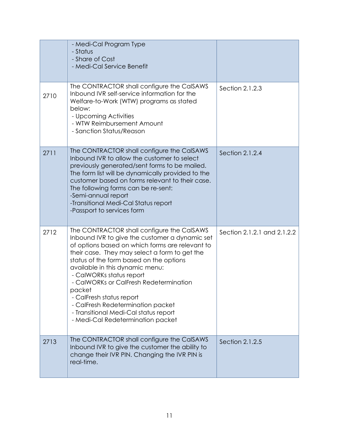|      | - Medi-Cal Program Type<br>- Status<br>- Share of Cost<br>- Medi-Cal Service Benefit                                                                                                                                                                                                                                                                                                                                                                                                                          |                             |
|------|---------------------------------------------------------------------------------------------------------------------------------------------------------------------------------------------------------------------------------------------------------------------------------------------------------------------------------------------------------------------------------------------------------------------------------------------------------------------------------------------------------------|-----------------------------|
| 2710 | The CONTRACTOR shall configure the CalSAWS<br>Inbound IVR self-service information for the<br>Welfare-to-Work (WTW) programs as stated<br>below:<br>- Upcoming Activities<br>- WTW Reimbursement Amount<br>- Sanction Status/Reason                                                                                                                                                                                                                                                                           | Section 2.1.2.3             |
| 2711 | The CONTRACTOR shall configure the CalSAWS<br>Inbound IVR to allow the customer to select<br>previously generated/sent forms to be mailed.<br>The form list will be dynamically provided to the<br>customer based on forms relevant to their case.<br>The following forms can be re-sent:<br>-Semi-annual report<br>-Transitional Medi-Cal Status report<br>-Passport to services form                                                                                                                        | Section 2.1.2.4             |
| 2712 | The CONTRACTOR shall configure the CaISAWS<br>Inbound IVR to give the customer a dynamic set<br>of options based on which forms are relevant to<br>their case. They may select a form to get the<br>status of the form based on the options<br>available in this dynamic menu:<br>- CalWORKs status report<br>- CalWORKs or CalFresh Redetermination<br>packet<br>- CalFresh status report<br>- CalFresh Redetermination packet<br>- Transitional Medi-Cal status report<br>- Medi-Cal Redetermination packet | Section 2.1.2.1 and 2.1.2.2 |
| 2713 | The CONTRACTOR shall configure the CalSAWS<br>Inbound IVR to give the customer the ability to<br>change their IVR PIN. Changing the IVR PIN is<br>real-time.                                                                                                                                                                                                                                                                                                                                                  | Section 2.1.2.5             |